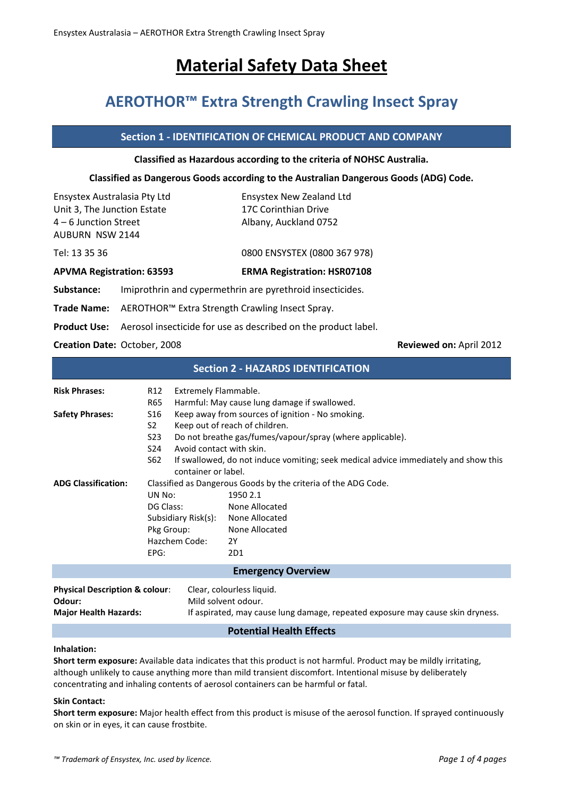# **Material Safety Data Sheet**

## **AEROTHOR™ Extra Strength Crawling Insect Spray**

## **Section 1 - IDENTIFICATION OF CHEMICAL PRODUCT AND COMPANY**

#### **Classified as Hazardous according to the criteria of NOHSC Australia.**

#### **Classified as Dangerous Goods according to the Australian Dangerous Goods (ADG) Code.**

| Ensystex Australasia Pty Ltd<br>Unit 3, The Junction Estate<br>$4-6$ Junction Street<br><b>AUBURN NSW 2144</b> |                                                                                    | <b>Ensystex New Zealand Ltd</b><br>17C Corinthian Drive<br>Albany, Auckland 0752 |  |  |  |
|----------------------------------------------------------------------------------------------------------------|------------------------------------------------------------------------------------|----------------------------------------------------------------------------------|--|--|--|
| Tel: 13 35 36                                                                                                  |                                                                                    | 0800 ENSYSTEX (0800 367 978)                                                     |  |  |  |
| <b>APVMA Registration: 63593</b>                                                                               |                                                                                    | <b>ERMA Registration: HSR07108</b>                                               |  |  |  |
| Substance:                                                                                                     | Imiprothrin and cypermethrin are pyrethroid insecticides.                          |                                                                                  |  |  |  |
| <b>Trade Name:</b>                                                                                             | AEROTHOR <sup>™</sup> Extra Strength Crawling Insect Spray.                        |                                                                                  |  |  |  |
|                                                                                                                | <b>Product Use:</b> Aerosol insecticide for use as described on the product label. |                                                                                  |  |  |  |
|                                                                                                                |                                                                                    |                                                                                  |  |  |  |

**Creation Date:** October, 2008 **Reviewed on:** April 2012

## **Section 2 - HAZARDS IDENTIFICATION**

| <b>Risk Phrases:</b>                                | R12                                                            | Extremely Flammable.     |                                                                                     |  |
|-----------------------------------------------------|----------------------------------------------------------------|--------------------------|-------------------------------------------------------------------------------------|--|
|                                                     | R65                                                            |                          | Harmful: May cause lung damage if swallowed.                                        |  |
| <b>Safety Phrases:</b>                              | S <sub>16</sub>                                                |                          | Keep away from sources of ignition - No smoking.                                    |  |
|                                                     | S2.                                                            |                          | Keep out of reach of children.                                                      |  |
|                                                     | S23                                                            |                          | Do not breathe gas/fumes/vapour/spray (where applicable).                           |  |
|                                                     | S24                                                            | Avoid contact with skin. |                                                                                     |  |
|                                                     | S62                                                            | container or label.      | If swallowed, do not induce vomiting; seek medical advice immediately and show this |  |
| <b>ADG Classification:</b>                          | Classified as Dangerous Goods by the criteria of the ADG Code. |                          |                                                                                     |  |
|                                                     | UN No:                                                         |                          | 1950 2.1                                                                            |  |
|                                                     |                                                                |                          |                                                                                     |  |
|                                                     | DG Class:                                                      |                          | None Allocated                                                                      |  |
|                                                     |                                                                |                          | Subsidiary Risk(s): None Allocated                                                  |  |
|                                                     | Pkg Group:                                                     |                          | None Allocated                                                                      |  |
|                                                     |                                                                | Hazchem Code:            | 2Y                                                                                  |  |
|                                                     | EPG:                                                           |                          | 2D1                                                                                 |  |
| <b>Emergency Overview</b>                           |                                                                |                          |                                                                                     |  |
| <b>Physical Description &amp; colour:</b><br>Odour: |                                                                | Mild solvent odour.      | Clear, colourless liquid.                                                           |  |
| <b>Major Health Hazards:</b>                        |                                                                |                          | If aspirated, may cause lung damage, repeated exposure may cause skin dryness.      |  |
|                                                     |                                                                |                          | the contract of the contract of the contract of                                     |  |

#### **Potential Health Effects**

#### **Inhalation:**

**Short term exposure:** Available data indicates that this product is not harmful. Product may be mildly irritating, although unlikely to cause anything more than mild transient discomfort. Intentional misuse by deliberately concentrating and inhaling contents of aerosol containers can be harmful or fatal.

#### **Skin Contact:**

**Short term exposure:** Major health effect from this product is misuse of the aerosol function. If sprayed continuously on skin or in eyes, it can cause frostbite.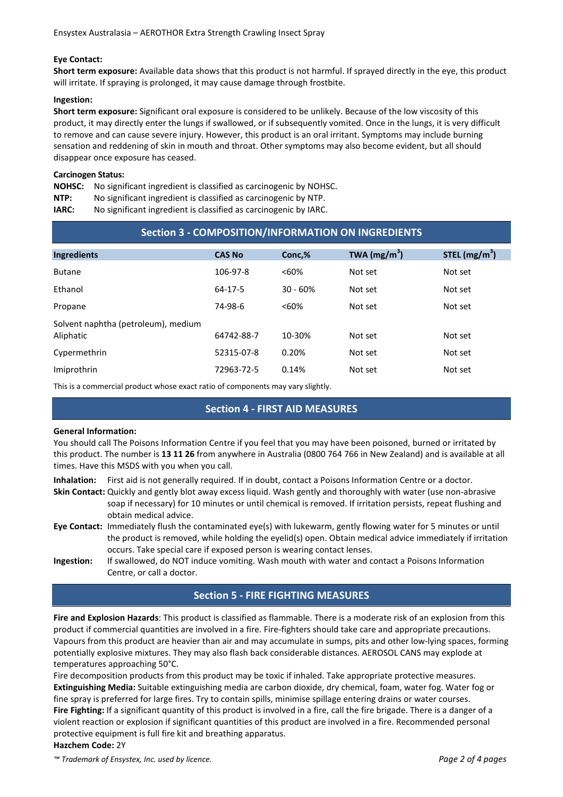#### **Eye Contact:**

**Short term exposure:** Available data shows that this product is not harmful. If sprayed directly in the eye, this product will irritate. If spraying is prolonged, it may cause damage through frostbite.

#### **Ingestion:**

**Short term exposure:** Significant oral exposure is considered to be unlikely. Because of the low viscosity of this product, it may directly enter the lungs if swallowed, or if subsequently vomited. Once in the lungs, it is very difficult to remove and can cause severe injury. However, this product is an oral irritant. Symptoms may include burning sensation and reddening of skin in mouth and throat. Other symptoms may also become evident, but all should disappear once exposure has ceased.

#### **Carcinogen Status:**

**NOHSC:** No significant ingredient is classified as carcinogenic by NOHSC.

**NTP:** No significant ingredient is classified as carcinogenic by NTP.

**IARC:** No significant ingredient is classified as carcinogenic by IARC.

| Section 3 - COMPOSITION/INFORMATION ON INGREDIENTS |               |            |                |                 |
|----------------------------------------------------|---------------|------------|----------------|-----------------|
| <b>Ingredients</b>                                 | <b>CAS No</b> | Conc,%     | TWA $(mg/m^3)$ | STEL $(mg/m^3)$ |
| <b>Butane</b>                                      | 106-97-8      | <60%       | Not set        | Not set         |
| Ethanol                                            | 64-17-5       | $30 - 60%$ | Not set        | Not set         |
| Propane                                            | 74-98-6       | <60%       | Not set        | Not set         |
| Solvent naphtha (petroleum), medium<br>Aliphatic   | 64742-88-7    | 10-30%     | Not set        | Not set         |
| Cypermethrin                                       | 52315-07-8    | 0.20%      | Not set        | Not set         |
| Imiprothrin                                        | 72963-72-5    | 0.14%      | Not set        | Not set         |

This is a commercial product whose exact ratio of components may vary slightly.

## **Section 4 - FIRST AID MEASURES**

#### **General Information:**

You should call The Poisons Information Centre if you feel that you may have been poisoned, burned or irritated by this product. The number is **13 11 26** from anywhere in Australia (0800 764 766 in New Zealand) and is available at all times. Have this MSDS with you when you call.

**Inhalation:** First aid is not generally required. If in doubt, contact a Poisons Information Centre or a doctor.

- **Skin Contact:** Quickly and gently blot away excess liquid. Wash gently and thoroughly with water (use non-abrasive soap if necessary) for 10 minutes or until chemical is removed. If irritation persists, repeat flushing and obtain medical advice.
- **Eye Contact:** Immediately flush the contaminated eye(s) with lukewarm, gently flowing water for 5 minutes or until the product is removed, while holding the eyelid(s) open. Obtain medical advice immediately if irritation occurs. Take special care if exposed person is wearing contact lenses.
- **Ingestion:** If swallowed, do NOT induce vomiting. Wash mouth with water and contact a Poisons Information Centre, or call a doctor.

## **Section 5 - FIRE FIGHTING MEASURES**

**Fire and Explosion Hazards**: This product is classified as flammable. There is a moderate risk of an explosion from this product if commercial quantities are involved in a fire. Fire-fighters should take care and appropriate precautions. Vapours from this product are heavier than air and may accumulate in sumps, pits and other low-lying spaces, forming potentially explosive mixtures. They may also flash back considerable distances. AEROSOL CANS may explode at temperatures approaching 50°C.

Fire decomposition products from this product may be toxic if inhaled. Take appropriate protective measures. **Extinguishing Media:** Suitable extinguishing media are carbon dioxide, dry chemical, foam, water fog. Water fog or fine spray is preferred for large fires. Try to contain spills, minimise spillage entering drains or water courses. **Fire Fighting:** If a significant quantity of this product is involved in a fire, call the fire brigade. There is a danger of a violent reaction or explosion if significant quantities of this product are involved in a fire. Recommended personal protective equipment is full fire kit and breathing apparatus. **Hazchem Code:** 2Y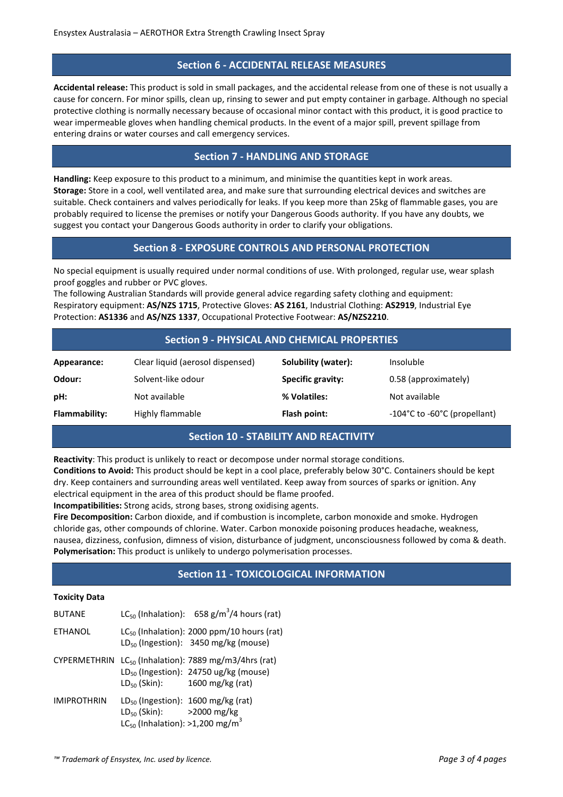#### **Section 6 - ACCIDENTAL RELEASE MEASURES**

**Accidental release:** This product is sold in small packages, and the accidental release from one of these is not usually a cause for concern. For minor spills, clean up, rinsing to sewer and put empty container in garbage. Although no special protective clothing is normally necessary because of occasional minor contact with this product, it is good practice to wear impermeable gloves when handling chemical products. In the event of a major spill, prevent spillage from entering drains or water courses and call emergency services.

## **Section 7 - HANDLING AND STORAGE**

**Handling:** Keep exposure to this product to a minimum, and minimise the quantities kept in work areas. **Storage:** Store in a cool, well ventilated area, and make sure that surrounding electrical devices and switches are suitable. Check containers and valves periodically for leaks. If you keep more than 25kg of flammable gases, you are probably required to license the premises or notify your Dangerous Goods authority. If you have any doubts, we suggest you contact your Dangerous Goods authority in order to clarify your obligations.

## **Section 8 - EXPOSURE CONTROLS AND PERSONAL PROTECTION**

No special equipment is usually required under normal conditions of use. With prolonged, regular use, wear splash proof goggles and rubber or PVC gloves.

The following Australian Standards will provide general advice regarding safety clothing and equipment: Respiratory equipment: **AS/NZS 1715**, Protective Gloves: **AS 2161**, Industrial Clothing: **AS2919**, Industrial Eye Protection: **AS1336** and **AS/NZS 1337**, Occupational Protective Footwear: **AS/NZS2210**.

## **Section 9 - PHYSICAL AND CHEMICAL PROPERTIES**

| Appearance:   | Clear liquid (aerosol dispensed) | Solubility (water):      | Insoluble                    |
|---------------|----------------------------------|--------------------------|------------------------------|
| Odour:        | Solvent-like odour               | <b>Specific gravity:</b> | 0.58 (approximately)         |
| pH:           | Not available                    | % Volatiles:             | Not available                |
| Flammability: | Highly flammable                 | Flash point:             | -104°C to -60°C (propellant) |

## **Section 10 - STABILITY AND REACTIVITY**

**Reactivity**: This product is unlikely to react or decompose under normal storage conditions.

**Conditions to Avoid:** This product should be kept in a cool place, preferably below 30°C. Containers should be kept dry. Keep containers and surrounding areas well ventilated. Keep away from sources of sparks or ignition. Any electrical equipment in the area of this product should be flame proofed.

**Incompatibilities:** Strong acids, strong bases, strong oxidising agents.

**Fire Decomposition:** Carbon dioxide, and if combustion is incomplete, carbon monoxide and smoke. Hydrogen chloride gas, other compounds of chlorine. Water. Carbon monoxide poisoning produces headache, weakness, nausea, dizziness, confusion, dimness of vision, disturbance of judgment, unconsciousness followed by coma & death. **Polymerisation:** This product is unlikely to undergo polymerisation processes.

## **Section 11 - TOXICOLOGICAL INFORMATION**

#### **Toxicity Data**

| <b>BUTANE</b>       |                                                                                          | $LC_{50}$ (Inhalation): 658 g/m <sup>3</sup> /4 hours (rat)                                                                       |
|---------------------|------------------------------------------------------------------------------------------|-----------------------------------------------------------------------------------------------------------------------------------|
| <b>ETHANOL</b>      |                                                                                          | LC <sub>50</sub> (Inhalation): 2000 ppm/10 hours (rat)<br>$LD_{50}$ (Ingestion): 3450 mg/kg (mouse)                               |
| <b>CYPERMETHRIN</b> |                                                                                          | $LC_{50}$ (Inhalation): 7889 mg/m3/4hrs (rat)<br>$LD_{50}$ (Ingestion): 24750 ug/kg (mouse)<br>$LD_{50}$ (Skin): 1600 mg/kg (rat) |
| <b>IMIPROTHRIN</b>  | $LD_{50}$ (Skin): >2000 mg/kg<br>LC <sub>50</sub> (Inhalation): >1,200 mg/m <sup>3</sup> | $LD_{50}$ (Ingestion): 1600 mg/kg (rat)                                                                                           |